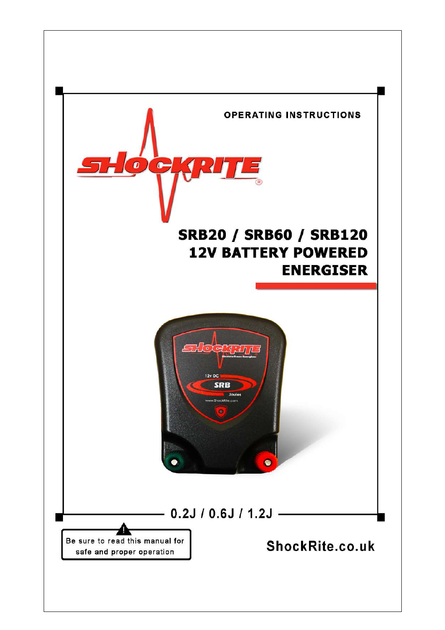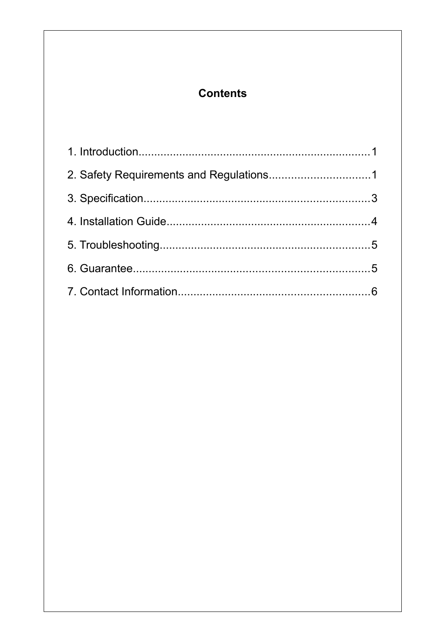### <span id="page-1-4"></span><span id="page-1-3"></span><span id="page-1-2"></span><span id="page-1-1"></span><span id="page-1-0"></span>**Contents**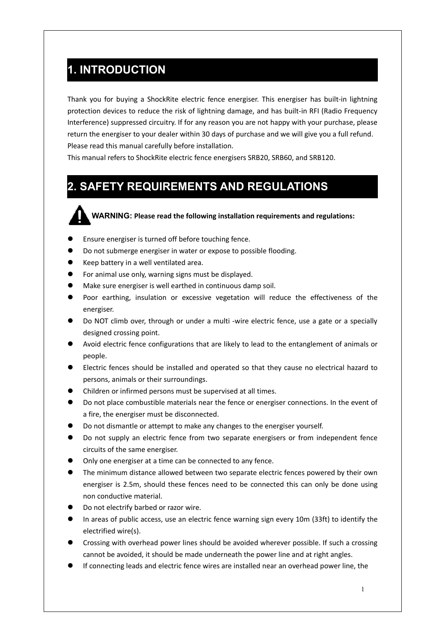### **1. INTRODUCTION**

Thank you for buying a ShockRite electric fence energiser. This energiser has built-in lightning protection devices to reduce the risk of lightning damage, and has built-in RFI (Radio Frequency Interference) suppressed circuitry. If for any reason you are not happy with your purchase, please return the energiser to your dealer within 30 days of purchase and we will give you a full refund. Please read this manual carefully before installation.

This manual refers to ShockRite electric fence energisers SRB20, SRB60, and SRB120.

### **2. SAFETY REQUIREMENTS AND REGULATIONS**

**WARNING: Please read the following installation requirements and regulations:**

- Ensure energiser is turned off before touching fence.
- Do not submerge energiser in water or expose to possible flooding.
- Keep battery in a well ventilated area.
- For animal use only, warning signs must be displayed.
- Make sure energiser is well earthed in continuous damp soil.
- Poor earthing, insulation or excessive vegetation will reduce the effectiveness of the energiser.
- Do NOT climb over, through or under a multi -wire electric fence, use a gate or a specially designed crossing point.
- Avoid electric fence configurations that are likely to lead to the entanglement of animals or people.
- Electric fences should be installed and operated so that they cause no electrical hazard to persons, animals or their surroundings.
- Children or infirmed persons must be supervised at all times.
- Do not place combustible materials near the fence or energiser connections. In the event of a fire, the energiser must be disconnected.
- Do not dismantle or attempt to make any changes to the energiser yourself.
- Do not supply an electric fence from two separate energisers or from independent fence circuits of the same energiser.
- Only one energiser at a time can be connected to any fence.
- The minimum distance allowed between two separate electric fences powered by their own energiser is 2.5m, should these fences need to be connected this can only be done using non conductive material.
- Do not electrify barbed or razor wire.
- In areas of public access, use an electric fence warning sign every 10m (33ft) to identify the electrified wire(s).
- Crossing with overhead power lines should be avoided wherever possible. If such a crossing cannot be avoided, it should be made underneath the power line and at right angles.
- If connecting leads and electric fence wires are installed near an overhead power line, the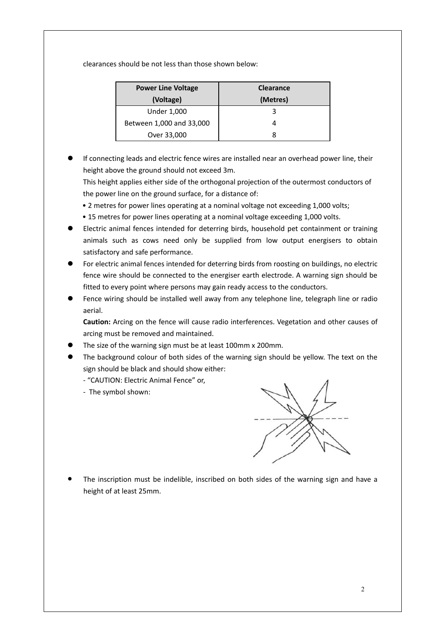clearances should be not less than those shown below:

| <b>Power Line Voltage</b> | <b>Clearance</b> |
|---------------------------|------------------|
| (Voltage)                 | (Metres)         |
| <b>Under 1,000</b>        | З                |
| Between 1,000 and 33,000  |                  |
| Over 33,000               |                  |

 If connecting leads and electric fence wires are installed near an overhead power line, their height above the ground should not exceed 3m.

This height applies either side of the orthogonal projection of the outermost conductors of the power line on the ground surface, for a distance of:

- 2 metres for power lines operating at a nominal voltage not exceeding 1,000 volts;
- 15 metres for power lines operating at a nominal voltage exceeding 1,000 volts.
- Electric animal fences intended for deterring birds, household pet containment or training animals such as cows need only be supplied from low output energisers to obtain satisfactory and safe performance.
- For electric animal fences intended for deterring birds from roosting on buildings, no electric fence wire should be connected to the energiser earth electrode. A warning sign should be fitted to every point where persons may gain ready access to the conductors.
- Fence wiring should be installed well away from any telephone line, telegraph line or radio aerial.

**Caution:** Arcing on the fence will cause radio interferences. Vegetation and other causes of arcing must be removed and maintained.

- The size of the warning sign must be at least 100mm x 200mm.
- The background colour of both sides of the warning sign should be yellow. The text on the sign should be black and should show either:
	- "CAUTION: Electric Animal Fence" or,
	- The symbol shown:



 The inscription must be indelible, inscribed on both sides of the warning sign and have a height of at least 25mm.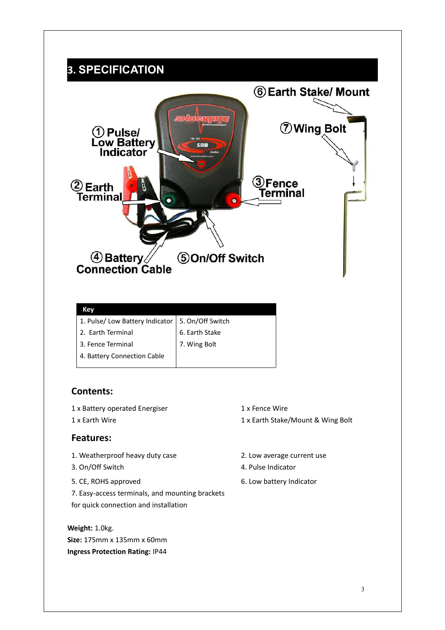### **3. SPECIFICATION**



| 1. Pulse/ Low Battery Indicator   5. On/Off Switch |                |
|----------------------------------------------------|----------------|
| 2. Earth Terminal                                  | 6. Earth Stake |
| 3. Fence Terminal                                  | 7. Wing Bolt   |
| 4. Battery Connection Cable                        |                |
|                                                    |                |

#### **Contents:**

- 1 x Battery operated Energiser 1x Fence Wire
- 

#### **Features:**

- 1. Weatherproof heavy duty case 2. Low average current use
- 
- 
- 7. Easy-access terminals, and mounting brackets for quick connection and installation

**Weight:** 1.0kg. **Size:** 175mm x 135mm x 60mm **Ingress Protection Rating:** IP44

- 
- 1 x Earth Wire 1 x Earth Stake/Mount & Wing Bolt
	-
- 3. On/Off Switch 4. Pulse Indicator
- 5. CE, ROHS approved 6. Low battery Indicator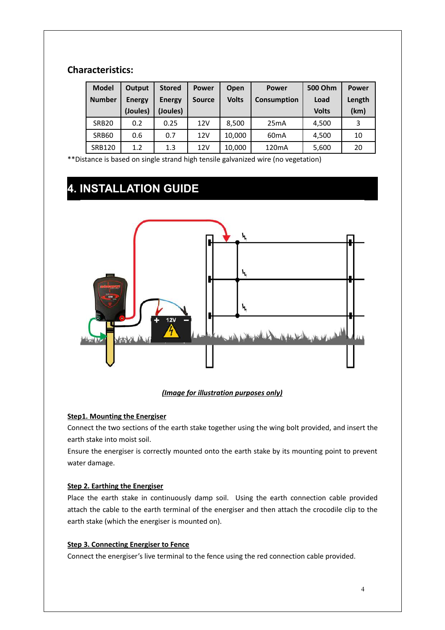### **Characteristics:**

| <b>Model</b>  | Output        | <b>Stored</b> | <b>Power</b>  | Open         | <b>Power</b>       | 500 Ohm      | <b>Power</b> |
|---------------|---------------|---------------|---------------|--------------|--------------------|--------------|--------------|
| <b>Number</b> | <b>Energy</b> | <b>Energy</b> | <b>Source</b> | <b>Volts</b> | <b>Consumption</b> | Load         | Length       |
|               | (Joules)      | (Joules)      |               |              |                    | <b>Volts</b> | (km)         |
| <b>SRB20</b>  | 0.2           | 0.25          | 12V           | 8,500        | 25mA               | 4,500        | 3            |
| SRB60         | 0.6           | 0.7           | 12V           | 10,000       | 60 <sub>m</sub> A  | 4.500        | 10           |
| <b>SRB120</b> | 1.2           | 1.3           | 12V           | 10,000       | 120 <sub>m</sub> A | 5,600        | 20           |

\*\*Distance is based on single strand high tensile galvanized wire (no vegetation)

## **4. INSTALLATION GUIDE**



#### *(Image for illustration purposes only)*

#### **Step1. Mounting the Energiser**

Connect the two sections of the earth stake together using the wing bolt provided, and insert the earth stake into moist soil.

Ensure the energiser is correctly mounted onto the earth stake by its mounting point to prevent water damage.

#### **Step 2. Earthing the Energiser**

Place the earth stake in continuously damp soil. Using the earth connection cable provided attach the cable to the earth terminal of the energiser and then attach the crocodile clip to the earth stake (which the energiser is mounted on).

#### **Step 3. Connecting Energiser to Fence**

Connect the energiser's live terminal to the fence using the red connection cable provided.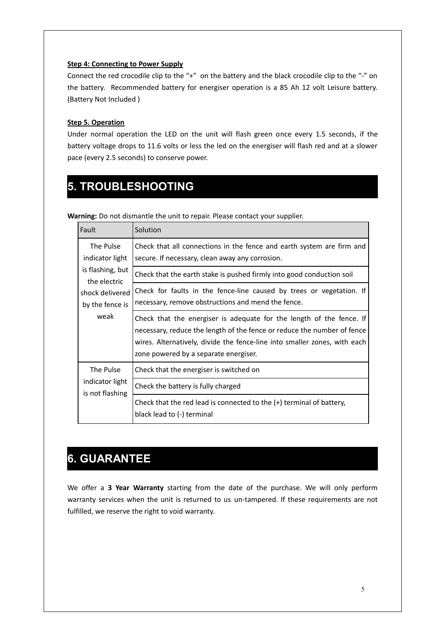#### **Step 4: Connecting to Power Supply**

Connect the red crocodile clip to the "+" on the battery and the black crocodile clip to the "-" on the battery. Recommended battery for energiser operation is a 85 Ah 12 volt Leisure battery. (Battery Not Included )

#### **Step 5. Operation**

Under normal operation the LED on the unit will flash green once every 1.5 seconds, if the battery voltage drops to 11.6 volts or less the led on the energiser will flash red and at a slower pace (every 2.5 seconds) to conserve power.

### **5. TROUBLESHOOTING**

| Fault                              | Solution                                                                                                                                                                                                                                                              |
|------------------------------------|-----------------------------------------------------------------------------------------------------------------------------------------------------------------------------------------------------------------------------------------------------------------------|
| The Pulse<br>indicator light       | Check that all connections in the fence and earth system are firm and<br>secure. If necessary, clean away any corrosion.                                                                                                                                              |
| is flashing, but<br>the electric   | Check that the earth stake is pushed firmly into good conduction soil                                                                                                                                                                                                 |
| shock delivered<br>by the fence is | Check for faults in the fence-line caused by trees or vegetation. If<br>necessary, remove obstructions and mend the fence.                                                                                                                                            |
| weak                               | Check that the energiser is adequate for the length of the fence. If<br>necessary, reduce the length of the fence or reduce the number of fence<br>wires. Alternatively, divide the fence-line into smaller zones, with each<br>zone powered by a separate energiser. |
| The Pulse                          | Check that the energiser is switched on                                                                                                                                                                                                                               |
| indicator light<br>is not flashing | Check the battery is fully charged                                                                                                                                                                                                                                    |
|                                    | Check that the red lead is connected to the $(+)$ terminal of battery,<br>black lead to (-) terminal                                                                                                                                                                  |

**Warning:** Do not dismantle the unit to repair. Please contact your supplier.

### **6. GUARANTEE**

We offer a **3 Year Warranty** starting from the date of the purchase. We will only perform warranty services when the unit is returned to us un-tampered. If these requirements are not fulfilled, we reserve the right to void warranty.